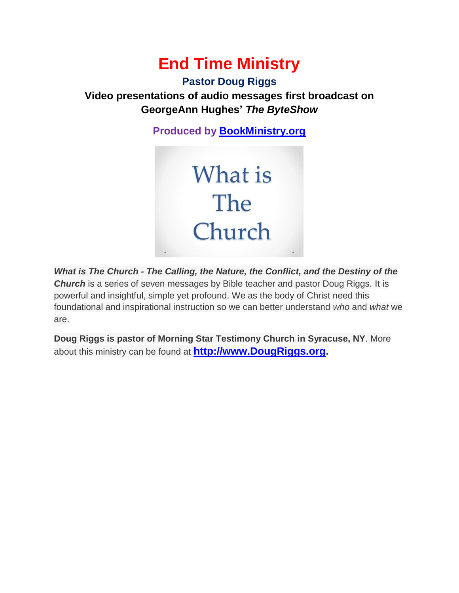# **End Time Ministry**

### **Pastor Doug Riggs**

## **Video presentations of audio messages first broadcast on GeorgeAnn Hughes'** *The ByteShow*

**Produced by [BookMinistry.org](http://www.bookministry.org/)**



*What is The Church - The Calling, the Nature, the Conflict, and the Destiny of the*  **Church** is a series of seven messages by Bible teacher and pastor Doug Riggs. It is powerful and insightful, simple yet profound. We as the body of Christ need this foundational and inspirational instruction so we can better understand *who* and *what* we are.

**Doug Riggs is pastor of Morning Star Testimony Church in Syracuse, NY**. More about this ministry can be found at **[http://www.DougRiggs.org.](http://www.dougriggs.org/)**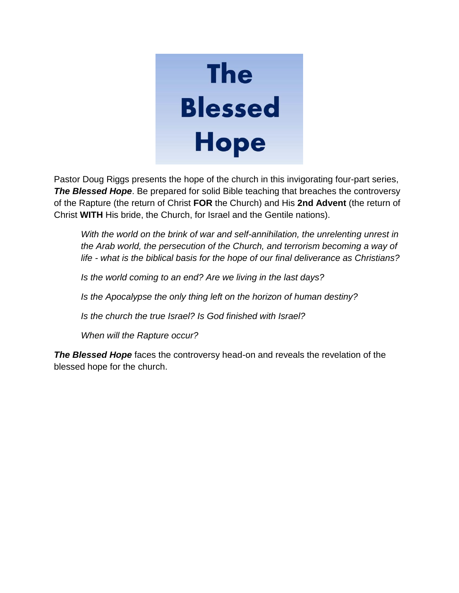# **The Blessed Hope**

Pastor Doug Riggs presents the hope of the church in this invigorating four-part series, **The Blessed Hope**. Be prepared for solid Bible teaching that breaches the controversy of the Rapture (the return of Christ **FOR** the Church) and His **2nd Advent** (the return of Christ **WITH** His bride, the Church, for Israel and the Gentile nations).

With the world on the brink of war and self-annihilation, the unrelenting unrest in *the Arab world, the persecution of the Church, and terrorism becoming a way of life - what is the biblical basis for the hope of our final deliverance as Christians?*

*Is the world coming to an end? Are we living in the last days?* 

*Is the Apocalypse the only thing left on the horizon of human destiny?* 

*Is the church the true Israel? Is God finished with Israel?* 

*When will the Rapture occur?*

**The Blessed Hope** faces the controversy head-on and reveals the revelation of the blessed hope for the church.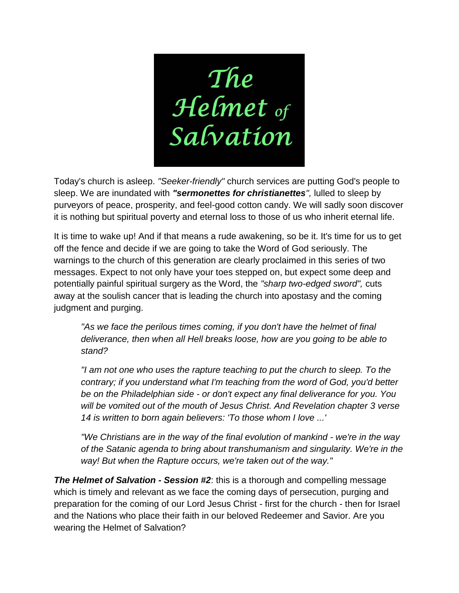

Today's church is asleep. *"Seeker-friendly"* church services are putting God's people to sleep. We are inundated with *"sermonettes for christianettes",* lulled to sleep by purveyors of peace, prosperity, and feel-good cotton candy. We will sadly soon discover it is nothing but spiritual poverty and eternal loss to those of us who inherit eternal life.

It is time to wake up! And if that means a rude awakening, so be it. It's time for us to get off the fence and decide if we are going to take the Word of God seriously. The warnings to the church of this generation are clearly proclaimed in this series of two messages. Expect to not only have your toes stepped on, but expect some deep and potentially painful spiritual surgery as the Word, the *"sharp two-edged sword",* cuts away at the soulish cancer that is leading the church into apostasy and the coming judgment and purging.

*"As we face the perilous times coming, if you don't have the helmet of final deliverance, then when all Hell breaks loose, how are you going to be able to stand?* 

*"I am not one who uses the rapture teaching to put the church to sleep. To the contrary; if you understand what I'm teaching from the word of God, you'd better be on the Philadelphian side - or don't expect any final deliverance for you. You will be vomited out of the mouth of Jesus Christ. And Revelation chapter 3 verse 14 is written to born again believers: 'To those whom I love ...'*

*"We Christians are in the way of the final evolution of mankind - we're in the way of the Satanic agenda to bring about transhumanism and singularity. We're in the way! But when the Rapture occurs, we're taken out of the way."*

*The Helmet of Salvation - Session #2*: this is a thorough and compelling message which is timely and relevant as we face the coming days of persecution, purging and preparation for the coming of our Lord Jesus Christ - first for the church - then for Israel and the Nations who place their faith in our beloved Redeemer and Savior. Are you wearing the Helmet of Salvation?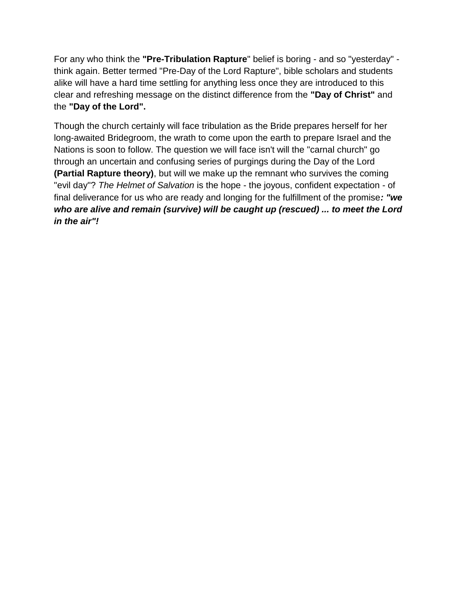For any who think the **"Pre-Tribulation Rapture**" belief is boring - and so "yesterday" think again. Better termed "Pre-Day of the Lord Rapture", bible scholars and students alike will have a hard time settling for anything less once they are introduced to this clear and refreshing message on the distinct difference from the **"Day of Christ"** and the **"Day of the Lord".**

Though the church certainly will face tribulation as the Bride prepares herself for her long-awaited Bridegroom, the wrath to come upon the earth to prepare Israel and the Nations is soon to follow. The question we will face isn't will the "carnal church" go through an uncertain and confusing series of purgings during the Day of the Lord **(Partial Rapture theory)**, but will we make up the remnant who survives the coming "evil day"? *The Helmet of Salvation* is the hope - the joyous, confident expectation - of final deliverance for us who are ready and longing for the fulfillment of the promise*: "we who are alive and remain (survive) will be caught up (rescued) ... to meet the Lord in the air"!*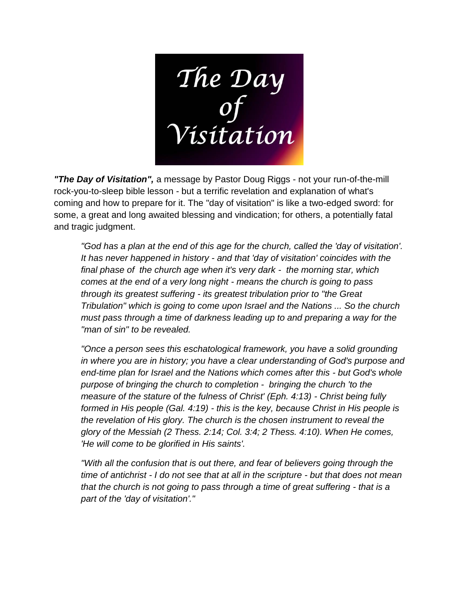The Day<br>Of<br>Visitation

*"The Day of Visitation",* a message by Pastor Doug Riggs - not your run-of-the-mill rock-you-to-sleep bible lesson - but a terrific revelation and explanation of what's coming and how to prepare for it. The "day of visitation" is like a two-edged sword: for some, a great and long awaited blessing and vindication; for others, a potentially fatal and tragic judgment.

*"God has a plan at the end of this age for the church, called the 'day of visitation'. It has never happened in history - and that 'day of visitation' coincides with the final phase of the church age when it's very dark - the morning star, which comes at the end of a very long night - means the church is going to pass through its greatest suffering - its greatest tribulation prior to "the Great Tribulation" which is going to come upon Israel and the Nations ... So the church must pass through a time of darkness leading up to and preparing a way for the "man of sin" to be revealed.* 

*"Once a person sees this eschatological framework, you have a solid grounding in where you are in history; you have a clear understanding of God's purpose and end-time plan for Israel and the Nations which comes after this - but God's whole purpose of bringing the church to completion - bringing the church 'to the measure of the stature of the fulness of Christ' (Eph. 4:13) - Christ being fully formed in His people (Gal. 4:19) - this is the key, because Christ in His people is the revelation of His glory. The church is the chosen instrument to reveal the glory of the Messiah (2 Thess. 2:14; Col. 3:4; 2 Thess. 4:10). When He comes, 'He will come to be glorified in His saints'.* 

*"With all the confusion that is out there, and fear of believers going through the time of antichrist - I do not see that at all in the scripture - but that does not mean that the church is not going to pass through a time of great suffering - that is a part of the 'day of visitation'."*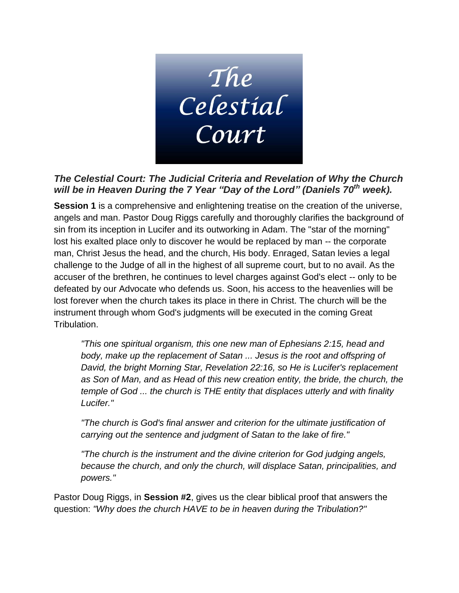

#### *The Celestial Court: The Judicial Criteria and Revelation of Why the Church will be in Heaven During the 7 Year "Day of the Lord" (Daniels 70 th week).*

**Session 1** is a comprehensive and enlightening treatise on the creation of the universe, angels and man. Pastor Doug Riggs carefully and thoroughly clarifies the background of sin from its inception in Lucifer and its outworking in Adam. The "star of the morning" lost his exalted place only to discover he would be replaced by man -- the corporate man, Christ Jesus the head, and the church, His body. Enraged, Satan levies a legal challenge to the Judge of all in the highest of all supreme court, but to no avail. As the accuser of the brethren, he continues to level charges against God's elect -- only to be defeated by our Advocate who defends us. Soon, his access to the heavenlies will be lost forever when the church takes its place in there in Christ. The church will be the instrument through whom God's judgments will be executed in the coming Great Tribulation.

*"This one spiritual organism, this one new man of Ephesians 2:15, head and body, make up the replacement of Satan ... Jesus is the root and offspring of David, the bright Morning Star, Revelation 22:16, so He is Lucifer's replacement as Son of Man, and as Head of this new creation entity, the bride, the church, the temple of God ... the church is THE entity that displaces utterly and with finality Lucifer."*

*"The church is God's final answer and criterion for the ultimate justification of carrying out the sentence and judgment of Satan to the lake of fire."*

*"The church is the instrument and the divine criterion for God judging angels, because the church, and only the church, will displace Satan, principalities, and powers."*

Pastor Doug Riggs, in **Session #2**, gives us the clear biblical proof that answers the question: *"Why does the church HAVE to be in heaven during the Tribulation?"*